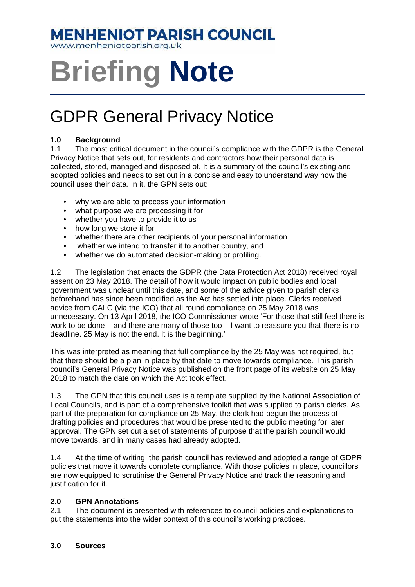### **MENHENIOT PARISH COUNCIL**

www.menheniotparish.org.uk

# **Briefing Note**

## GDPR General Privacy Notice

#### **1.0 Background**

1.1 The most critical document in the council's compliance with the GDPR is the General Privacy Notice that sets out, for residents and contractors how their personal data is collected, stored, managed and disposed of. It is a summary of the council's existing and adopted policies and needs to set out in a concise and easy to understand way how the council uses their data. In it, the GPN sets out:

- why we are able to process your information
- what purpose we are processing it for
- whether you have to provide it to us
- how long we store it for
- whether there are other recipients of your personal information
- whether we intend to transfer it to another country, and
- whether we do automated decision-making or profiling.

1.2 The legislation that enacts the GDPR (the Data Protection Act 2018) received royal assent on 23 May 2018. The detail of how it would impact on public bodies and local government was unclear until this date, and some of the advice given to parish clerks beforehand has since been modified as the Act has settled into place. Clerks received advice from CALC (via the ICO) that all round compliance on 25 May 2018 was unnecessary. On 13 April 2018, the ICO Commissioner wrote 'For those that still feel there is work to be done – and there are many of those too – I want to reassure you that there is no deadline. 25 May is not the end. It is the beginning.'

This was interpreted as meaning that full compliance by the 25 May was not required, but that there should be a plan in place by that date to move towards compliance. This parish council's General Privacy Notice was published on the front page of its website on 25 May 2018 to match the date on which the Act took effect.

1.3 The GPN that this council uses is a template supplied by the National Association of Local Councils, and is part of a comprehensive toolkit that was supplied to parish clerks. As part of the preparation for compliance on 25 May, the clerk had begun the process of drafting policies and procedures that would be presented to the public meeting for later approval. The GPN set out a set of statements of purpose that the parish council would move towards, and in many cases had already adopted.

1.4 At the time of writing, the parish council has reviewed and adopted a range of GDPR policies that move it towards complete compliance. With those policies in place, councillors are now equipped to scrutinise the General Privacy Notice and track the reasoning and justification for it.

#### **2.0 GPN Annotations**

2.1 The document is presented with references to council policies and explanations to put the statements into the wider context of this council's working practices.

#### **3.0 Sources**